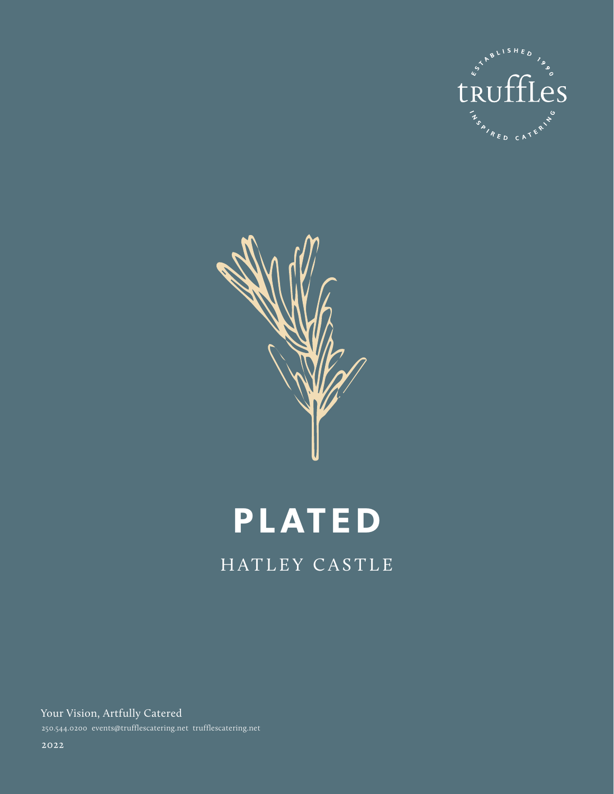



# **PLATED**

HATLEY CASTLE

Your Vision, Artfully Catered 250.544.0200 events@trufflescatering.net trufflescatering.net

2022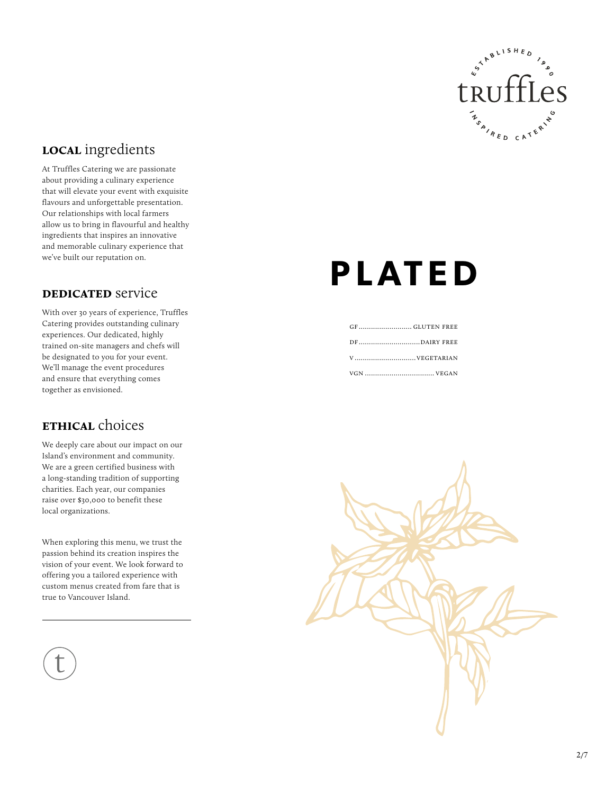

# **local** ingredients

At Truffles Catering we are passionate about providing a culinary experience that will elevate your event with exquisite flavours and unforgettable presentation. Our relationships with local farmers allow us to bring in flavourful and healthy ingredients that inspires an innovative and memorable culinary experience that we've built our reputation on.

#### **DEDICATED** service

With over 30 years of experience, Truffles Catering provides outstanding culinary experiences. Our dedicated, highly trained on-site managers and chefs will be designated to you for your event. We'll manage the event procedures and ensure that everything comes together as envisioned.

### **ETHICAL** choices

We deeply care about our impact on our Island's environment and community. We are a green certified business with a long-standing tradition of supporting charities. Each year, our companies raise over \$30,000 to benefit these local organizations.

When exploring this menu, we trust the passion behind its creation inspires the vision of your event. We look forward to offering you a tailored experience with custom menus created from fare that is true to Vancouver Island.

# **PLATED**

| DFDAIRY FREE |  |
|--------------|--|
|              |  |
|              |  |

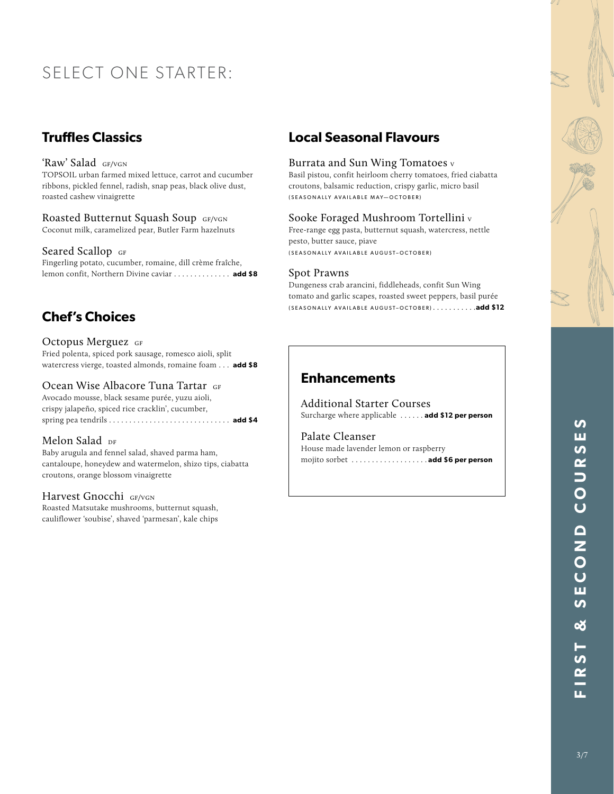# SELECT ONE STARTER:

# **Truffles Classics**

#### 'Raw' Salad gf/vgn

TOPSOIL urban farmed mixed lettuce, carrot and cucumber ribbons, pickled fennel, radish, snap peas, black olive dust, roasted cashew vinaigrette

#### Roasted Butternut Squash Soup GF/VGN Coconut milk, caramelized pear, Butler Farm hazelnuts

Seared Scallop GF

Fingerling potato, cucumber, romaine, dill crème fraîche, lemon confit, Northern Divine caviar . . . . . . . . . . . . . add \$8

# **Chef's Choices**

#### Octopus Merguez GF

Fried polenta, spiced pork sausage, romesco aioli, split watercress vierge, toasted almonds, romaine foam . . **add \$8**

#### Ocean Wise Albacore Tuna Tartar GF

Avocado mousse, black sesame purée, yuzu aioli, crispy jalapeño, spiced rice cracklin', cucumber, spring pea tendrils . . . . . . . . . . . . . . . . . . . . . . . . . . . . . . **add \$4**

#### Melon Salad DF

Baby arugula and fennel salad, shaved parma ham, cantaloupe, honeydew and watermelon, shizo tips, ciabatta croutons, orange blossom vinaigrette

#### Harvest Gnocchi GF/VGN

Roasted Matsutake mushrooms, butternut squash, cauliflower 'soubise', shaved 'parmesan', kale chips

# **Local Seasonal Flavours**

#### Burrata and Sun Wing Tomatoes v

Basil pistou, confit heirloom cherry tomatoes, fried ciabatta croutons, balsamic reduction, crispy garlic, micro basil (SEASONALLY AVAILABLE MAY—OCTOBER)

#### Sooke Foraged Mushroom Tortellini v

Free-range egg pasta, butternut squash, watercress, nettle pesto, butter sauce, piave (SEASONALLY AVAILABLE AUGUST–OCTOBER)

#### Spot Prawns

Dungeness crab arancini, fiddleheads, confit Sun Wing tomato and garlic scapes, roasted sweet peppers, basil purée (SEASONALLY AVAILABLE AUGUST–OCTOBER) . **add \$12**

### **Enhancements**

Additional Starter Courses Surcharge where applicable . **add \$12 per person**

### Palate Cleanser House made lavender lemon or raspberry

mojito sorbet . **add \$6 per person**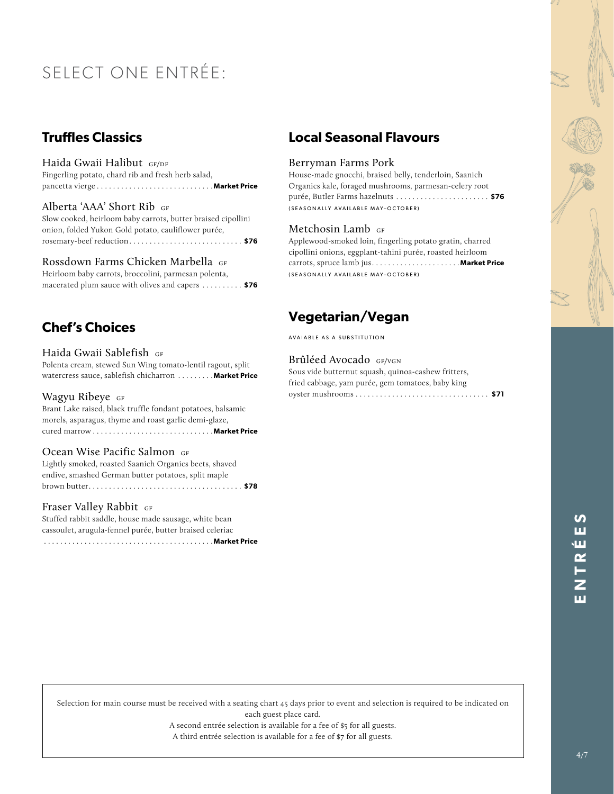# SELECT ONE ENTRÉE:

# **Truffles Classics**

Haida Gwaii Halibut GF/DF Fingerling potato, chard rib and fresh herb salad, pancetta vierge . **Market Price**

#### Alberta 'AAA' Short Rib gf

Slow cooked, heirloom baby carrots, butter braised cipollini onion, folded Yukon Gold potato, cauliflower purée, rosemary-beef reduction . . **\$76**

#### Rossdown Farms Chicken Marbella GF

Heirloom baby carrots, broccolini, parmesan polenta, macerated plum sauce with olives and capers . . **\$76**

# **Chef's Choices**

Haida Gwaii Sablefish GF

Polenta cream, stewed Sun Wing tomato-lentil ragout, split watercress sauce, sablefish chicharron . . . . . . . . . **Market Price** 

#### Wagyu Ribeye GF

Brant Lake raised, black truffle fondant potatoes, balsamic morels, asparagus, thyme and roast garlic demi-glaze, cured marrow . **Market Price**

#### Ocean Wise Pacific Salmon GF

Lightly smoked, roasted Saanich Organics beets, shaved endive, smashed German butter potatoes, split maple brown butter . . **\$78**

#### Fraser Valley Rabbit GF

Stuffed rabbit saddle, house made sausage, white bean cassoulet, arugula-fennel purée, butter braised celeriac . . . . . . . . . . . . . . . . . . . . . . . . . . . . . . . . . . . . . . . . . .**Market Price**

# **Local Seasonal Flavours**

#### Berryman Farms Pork

House-made gnocchi, braised belly, tenderloin, Saanich Organics kale, foraged mushrooms, parmesan-celery root purée, Butler Farms hazelnuts . . **\$76** (SEASONALLY AVAILABLE MAY–OCTOBER)

#### Metchosin Lamb GF

Applewood-smoked loin, fingerling potato gratin, charred cipollini onions, eggplant-tahini purée, roasted heirloom carrots, spruce lamb jus . **Market Price** (SEASONALLY AVAILABLE MAY–OCTOBER)

# **Vegetarian/Vegan**

AVAIABLE AS A SUBSTITUTION

#### Brûléed Avocado GF/VGN

Sous vide butternut squash, quinoa-cashew fritters, fried cabbage, yam purée, gem tomatoes, baby king oyster mushrooms . . **\$71**

> 4/7**ENTRÉES** ш ١Ш  $\overline{R}$

Selection for main course must be received with a seating chart 45 days prior to event and selection is required to be indicated on each guest place card.

A second entrée selection is available for a fee of \$5 for all guests.

A third entrée selection is available for a fee of \$7 for all guests.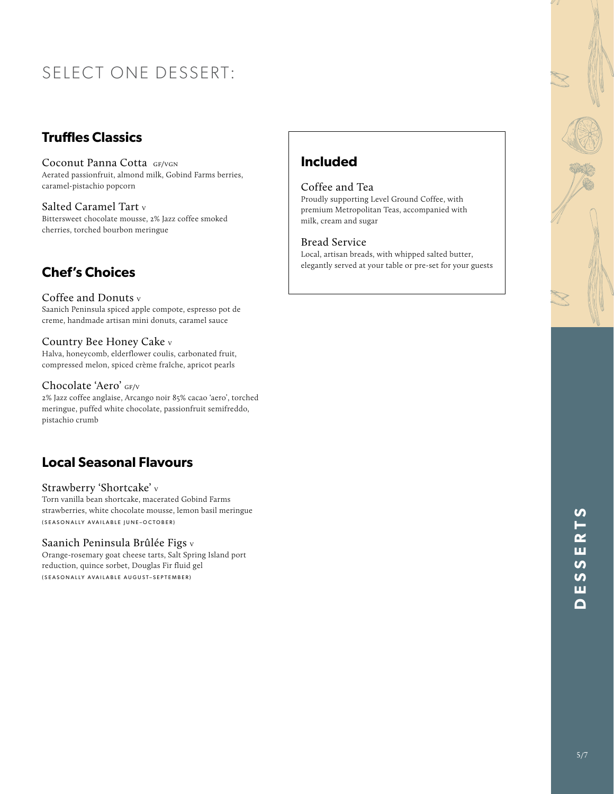# SELECT ONE DESSERT:

# **Truffles Classics**

Coconut Panna Cotta GF/VGN Aerated passionfruit, almond milk, Gobind Farms berries, caramel-pistachio popcorn

Salted Caramel Tart v Bittersweet chocolate mousse, 2% Jazz coffee smoked cherries, torched bourbon meringue

# **Chef's Choices**

#### Coffee and Donuts v

Saanich Peninsula spiced apple compote, espresso pot de creme, handmade artisan mini donuts, caramel sauce

#### Country Bee Honey Cake v

Halva, honeycomb, elderflower coulis, carbonated fruit, compressed melon, spiced crème fraîche, apricot pearls

#### Chocolate 'Aero' GF/V

2% Jazz coffee anglaise, Arcango noir 85% cacao 'aero', torched meringue, puffed white chocolate, passionfruit semifreddo, pistachio crumb

# **Local Seasonal Flavours**

#### Strawberry 'Shortcake' v

Torn vanilla bean shortcake, macerated Gobind Farms strawberries, white chocolate mousse, lemon basil meringue (SEASONALLY AVAILABLE JUNE–OCTOBER)

#### Saanich Peninsula Brûlée Figs v

Orange-rosemary goat cheese tarts, Salt Spring Island port reduction, quince sorbet, Douglas Fir fluid gel (SEASONALLY AVAILABLE AUGUST–SEPTEMBER)

# **Included**

#### Coffee and Tea

Proudly supporting Level Ground Coffee, with premium Metropolitan Teas, accompanied with milk, cream and sugar

#### Bread Service

Local, artisan breads, with whipped salted butter, elegantly served at your table or pre-set for your guests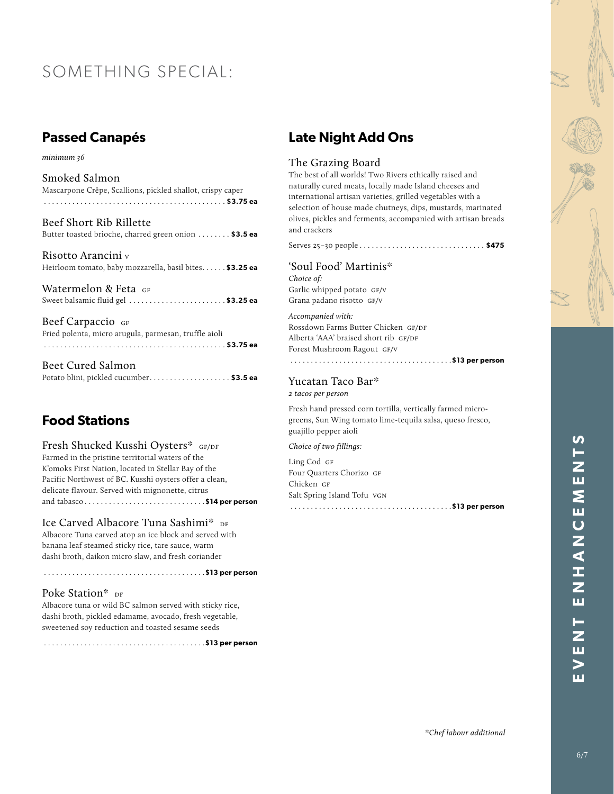# SOMETHING SPECIAL:

# **Passed Canapés**

*minimum 36*

| Smoked Salmon                                              |
|------------------------------------------------------------|
| Mascarpone Crêpe, Scallions, pickled shallot, crispy caper |
|                                                            |

| Beef Short Rib Rillette                               |  |
|-------------------------------------------------------|--|
| Butter toasted brioche, charred green onion  \$3.5 ea |  |

Risotto Arancini v Heirloom tomato, baby mozzarella, basil bites...... \$3.25 ea

Watermelon & Feta GF Sweet balsamic fluid gel . **\$3.25 ea**

Beef Carpaccio GF Fried polenta, micro arugula, parmesan, truffle aioli . . . . . . . . . . . . . . . . . . . . . . . . . . . . . . . . . . . . . . . . . . . . . **\$3.75 ea**

| Beet Cured Salmon                      |  |
|----------------------------------------|--|
| Potato blini, pickled cucumber\$3.5 ea |  |

# **Food Stations**

Fresh Shucked Kusshi Oysters\* GF/DF Farmed in the pristine territorial waters of the K'omoks First Nation, located in Stellar Bay of the Pacific Northwest of BC. Kusshi oysters offer a clean, delicate flavour. Served with mignonette, citrus and tabasco . **\$14 per person** 

Ice Carved Albacore Tuna Sashimi\* DF Albacore Tuna carved atop an ice block and served with banana leaf steamed sticky rice, tare sauce, warm dashi broth, daikon micro slaw, and fresh coriander

. . . . . . . . . . . . . . . . . . . . . . . . . . . . . . . . . . . . . . . .**\$13 per person**

## Poke Station\* DF

Albacore tuna or wild BC salmon served with sticky rice, dashi broth, pickled edamame, avocado, fresh vegetable, sweetened soy reduction and toasted sesame seeds

. . . . . . . . . . . . . . . . . . . . . . . . . . . . . . . . . . . . . . . .**\$13 per person** 

# **Late Night Add Ons**

#### The Grazing Board

The best of all worlds! Two Rivers ethically raised and naturally cured meats, locally made Island cheeses and international artisan varieties, grilled vegetables with a selection of house made chutneys, dips, mustards, marinated olives, pickles and ferments, accompanied with artisan breads and crackers

Serves 25–30 people . . **\$475** 

### 'Soul Food' Martinis\* *Choice of:*

Garlic whipped potato GF/V Grana padano risotto gf/v

*Accompanied with:* Rossdown Farms Butter Chicken GF/DF Alberta 'AAA' braised short rib GF/DF Forest Mushroom Ragout gf/v . . . . . . . . . . . . . . . . . . . . . . . . . . . . . . . . . . . . . . . .**\$13 per person** 

#### Yucatan Taco Bar\* *2 tacos per person*

Fresh hand pressed corn tortilla, vertically farmed microgreens, Sun Wing tomato lime-tequila salsa, queso fresco, guajillo pepper aioli

*Choice of two fillings:*

Ling Cod GF Four Quarters Chorizo GF Chicken GF Salt Spring Island Tofu vgn . . . . . . . . . . . . . . . . . . . . . . . . . . . . . . . . . . . . . . . .**\$13 per person**